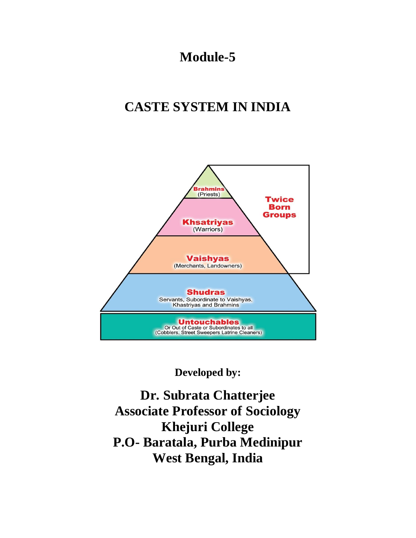# **Module-5**

# **CASTE SYSTEM IN INDIA**



**Developed by:**

**Dr. Subrata Chatterjee Associate Professor of Sociology Khejuri College P.O- Baratala, Purba Medinipur West Bengal, India**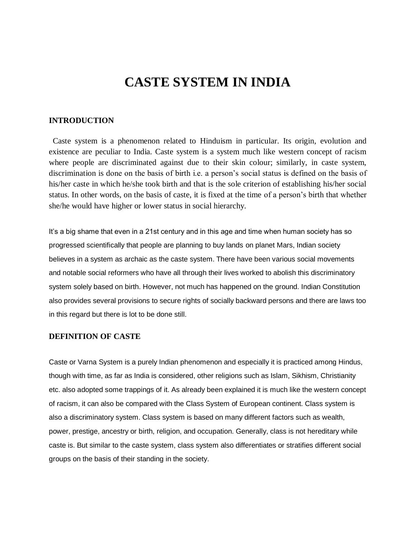# **CASTE SYSTEM IN INDIA**

#### **INTRODUCTION**

 Caste system is a phenomenon related to Hinduism in particular. Its origin, evolution and existence are peculiar to India. Caste system is a system much like western concept of racism where people are discriminated against due to their skin colour; similarly, in caste system, discrimination is done on the basis of birth i.e. a person's social status is defined on the basis of his/her caste in which he/she took birth and that is the sole criterion of establishing his/her social status. In other words, on the basis of caste, it is fixed at the time of a person's birth that whether she/he would have higher or lower status in social hierarchy.

It's a big shame that even in a 21st century and in this age and time when human society has so progressed scientifically that people are planning to buy lands on planet Mars, Indian society believes in a system as archaic as the caste system. There have been various social movements and notable social reformers who have all through their lives worked to abolish this discriminatory system solely based on birth. However, not much has happened on the ground. Indian Constitution also provides several provisions to secure rights of socially backward persons and there are laws too in this regard but there is lot to be done still.

#### **DEFINITION OF CASTE**

Caste or Varna System is a purely Indian phenomenon and especially it is practiced among Hindus, though with time, as far as India is considered, other religions such as Islam, Sikhism, Christianity etc. also adopted some trappings of it. As already been explained it is much like the western concept of racism, it can also be compared with the Class System of European continent. Class system is also a discriminatory system. Class system is based on many different factors such as wealth, power, prestige, ancestry or birth, religion, and occupation. Generally, class is not hereditary while caste is. But similar to the caste system, class system also differentiates or stratifies different social groups on the basis of their standing in the society.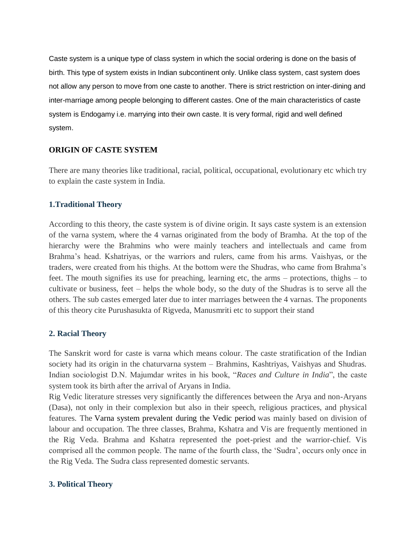Caste system is a unique type of class system in which the social ordering is done on the basis of birth. This type of system exists in Indian subcontinent only. Unlike class system, cast system does not allow any person to move from one caste to another. There is strict restriction on inter-dining and inter-marriage among people belonging to different castes. One of the main characteristics of caste system is Endogamy i.e. marrying into their own caste. It is very formal, rigid and well defined system.

#### **ORIGIN OF CASTE SYSTEM**

There are many theories like traditional, racial, political, occupational, evolutionary etc which try to explain the caste system in India.

#### **1.Traditional Theory**

According to this theory, the caste system is of divine origin. It says caste system is an extension of the varna system, where the 4 varnas originated from the body of Bramha. At the top of the hierarchy were the Brahmins who were mainly teachers and intellectuals and came from Brahma's head. Kshatriyas, or the warriors and rulers, came from his arms. Vaishyas, or the traders, were created from his thighs. At the bottom were the Shudras, who came from Brahma's feet. The mouth signifies its use for preaching, learning etc, the arms – protections, thighs – to cultivate or business, feet – helps the whole body, so the duty of the Shudras is to serve all the others. The sub castes emerged later due to inter marriages between the 4 varnas. The proponents of this theory cite Purushasukta of Rigveda, Manusmriti etc to support their stand

#### **2. Racial Theory**

The Sanskrit word for caste is varna which means colour. The caste stratification of the Indian society had its origin in the chaturvarna system – Brahmins, Kashtriyas, Vaishyas and Shudras. Indian sociologist D.N. Majumdar writes in his book, "*Races and Culture in India*", the caste system took its birth after the arrival of Aryans in India.

Rig Vedic literature stresses very significantly the differences between the Arya and non-Aryans (Dasa), not only in their complexion but also in their speech, religious practices, and physical features. The Varna system [prevalent](http://www.clearias.com/officers-vedic-period/) during the Vedic period was mainly based on division of labour and occupation. The three classes, Brahma, Kshatra and Vis are frequently mentioned in the Rig Veda. Brahma and Kshatra represented the poet-priest and the warrior-chief. Vis comprised all the common people. The name of the fourth class, the 'Sudra', occurs only once in the Rig Veda. The Sudra class represented domestic servants.

#### **3. Political Theory**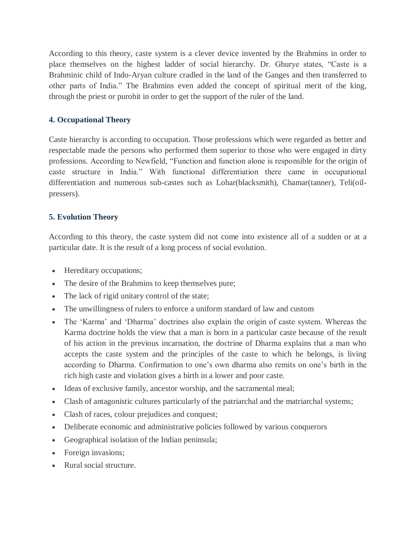According to this theory, caste system is a clever device invented by the Brahmins in order to place themselves on the highest ladder of social hierarchy. Dr. Ghurye states, "Caste is a Brahminic child of Indo-Aryan culture cradled in the land of the Ganges and then transferred to other parts of India." The Brahmins even added the concept of spiritual merit of the king, through the priest or purohit in order to get the support of the ruler of the land.

### **4. Occupational Theory**

Caste hierarchy is according to occupation. Those professions which were regarded as better and respectable made the persons who performed them superior to those who were engaged in dirty professions. According to Newfield, "Function and function alone is responsible for the origin of caste structure in India." With functional differentiation there came in occupational differentiation and numerous sub-castes such as Lohar(blacksmith), Chamar(tanner), Teli(oilpressers).

### **5. Evolution Theory**

According to this theory, the caste system did not come into existence all of a sudden or at a particular date. It is the result of a long process of social evolution.

- Hereditary occupations;
- The desire of the Brahmins to keep themselves pure;
- The lack of rigid unitary control of the state;
- The unwillingness of rulers to enforce a uniform standard of law and custom
- The 'Karma' and 'Dharma' doctrines also explain the origin of caste system. Whereas the Karma doctrine holds the view that a man is born in a particular caste because of the result of his action in the previous incarnation, the doctrine of Dharma explains that a man who accepts the caste system and the principles of the caste to which he belongs, is living according to Dharma. Confirmation to one's own dharma also remits on one's birth in the rich high caste and violation gives a birth in a lower and poor caste.
- Ideas of exclusive family, ancestor worship, and the sacramental meal;
- Clash of antagonistic cultures particularly of the patriarchal and the matriarchal systems;
- Clash of races, colour prejudices and conquest;
- Deliberate economic and administrative policies followed by various conquerors
- Geographical isolation of the Indian peninsula;
- Foreign invasions;
- Rural social structure.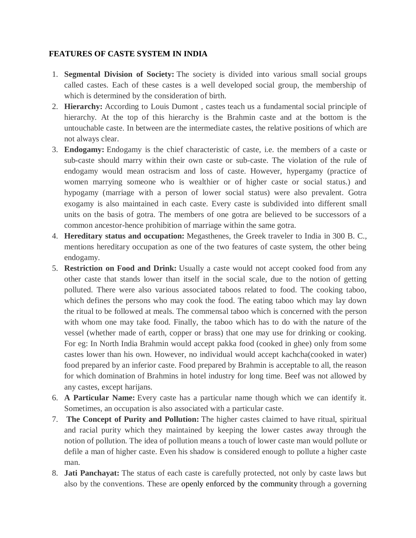#### **FEATURES OF CASTE SYSTEM IN INDIA**

- 1. **Segmental Division of Society:** The society is divided into various small social groups called castes. Each of these castes is a well developed social group, the membership of which is determined by the consideration of birth.
- 2. **Hierarchy:** According to Louis Dumont , castes teach us a fundamental social principle of hierarchy. At the top of this hierarchy is the Brahmin caste and at the bottom is the untouchable caste. In between are the intermediate castes, the relative positions of which are not always clear.
- 3. **Endogamy:** Endogamy is the chief characteristic of caste, i.e. the members of a caste or sub-caste should marry within their own caste or sub-caste. The violation of the rule of endogamy would mean ostracism and loss of caste. However, hypergamy (practice of women marrying someone who is wealthier or of higher caste or social status.) and hypogamy (marriage with a person of lower social status) were also prevalent. Gotra exogamy is also maintained in each caste. Every caste is subdivided into different small units on the basis of gotra. The members of one gotra are believed to be successors of a common ancestor-hence prohibition of marriage within the same gotra.
- 4. **Hereditary status and occupation:** Megasthenes, the Greek traveler to India in 300 B. C., mentions hereditary occupation as one of the two features of caste system, the other being endogamy.
- 5. **Restriction on Food and Drink:** Usually a caste would not accept cooked food from any other caste that stands lower than itself in the social scale, due to the notion of getting polluted. There were also various associated taboos related to food. The cooking taboo, which defines the persons who may cook the food. The eating taboo which may lay down the ritual to be followed at meals. The commensal taboo which is concerned with the person with whom one may take food. Finally, the taboo which has to do with the nature of the vessel (whether made of earth, copper or brass) that one may use for drinking or cooking. For eg: In North India Brahmin would accept pakka food (cooked in ghee) only from some castes lower than his own. However, no individual would accept kachcha(cooked in water) food prepared by an inferior caste. Food prepared by Brahmin is acceptable to all, the reason for which domination of Brahmins in hotel industry for long time. Beef was not allowed by any castes, except harijans.
- 6. **A Particular Name:** Every caste has a particular name though which we can identify it. Sometimes, an occupation is also associated with a particular caste.
- 7. **The Concept of Purity and Pollution:** The higher castes claimed to have ritual, spiritual and racial purity which they maintained by keeping the lower castes away through the notion of pollution. The idea of pollution means a touch of lower caste man would pollute or defile a man of higher caste. Even his shadow is considered enough to pollute a higher caste man.
- 8. **Jati Panchayat:** The status of each caste is carefully protected, not only by caste laws but also by the conventions. These are openly enforced by the [community](http://www.clearias.com/social-boycott/) through a governing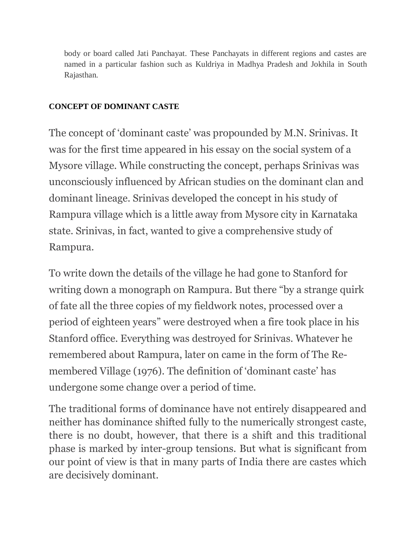body or board called Jati Panchayat. These Panchayats in different regions and castes are named in a particular fashion such as Kuldriya in Madhya Pradesh and Jokhila in South Rajasthan.

### **CONCEPT OF DOMINANT CASTE**

The concept of 'dominant caste' was propounded by M.N. Srinivas. It was for the first time appeared in his essay on the social system of a Mysore village. While constructing the concept, perhaps Srinivas was unconsciously influenced by African studies on the dominant clan and dominant lineage. Srinivas developed the concept in his study of Rampura village which is a little away from Mysore city in Karnataka state. Srinivas, in fact, wanted to give a comprehensive study of Rampura.

To write down the details of the village he had gone to Stanford for writing down a monograph on Rampura. But there "by a strange quirk of fate all the three copies of my fieldwork notes, processed over a period of eighteen years" were destroyed when a fire took place in his Stanford office. Everything was destroyed for Srinivas. Whatever he remembered about Rampura, later on came in the form of The Remembered Village (1976). The definition of 'dominant caste' has undergone some change over a period of time.

The traditional forms of dominance have not entirely disappeared and neither has dominance shifted fully to the numerically strongest caste, there is no doubt, however, that there is a shift and this traditional phase is marked by inter-group tensions. But what is significant from our point of view is that in many parts of India there are castes which are decisively dominant.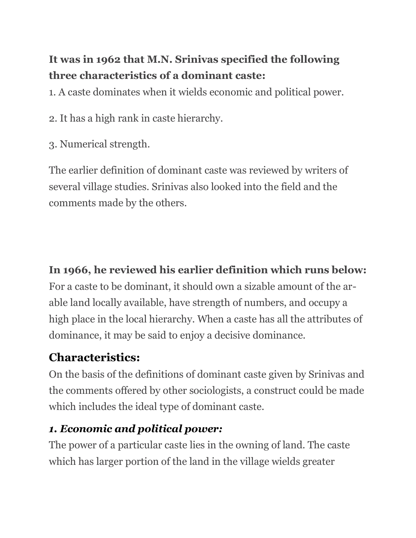# **It was in 1962 that M.N. Srinivas specified the following three characteristics of a dominant caste:**

1. A caste dominates when it wields economic and political power.

2. It has a high rank in caste hierarchy.

3. Numerical strength.

The earlier definition of dominant caste was reviewed by writers of several village studies. Srinivas also looked into the field and the comments made by the others.

### **In 1966, he reviewed his earlier definition which runs below:**

For a caste to be dominant, it should own a sizable amount of the arable land locally available, have strength of numbers, and occupy a high place in the local hierarchy. When a caste has all the attributes of dominance, it may be said to enjoy a decisive dominance.

### **Characteristics:**

On the basis of the definitions of dominant caste given by Srinivas and the comments offered by other sociologists, a construct could be made which includes the ideal type of dominant caste.

### *1. Economic and political power:*

The power of a particular caste lies in the owning of land. The caste which has larger portion of the land in the village wields greater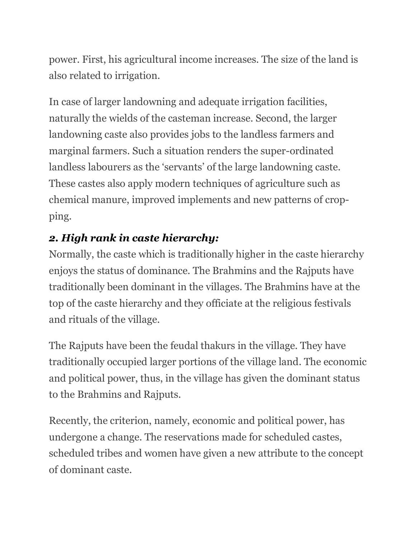power. First, his agricultural income increases. The size of the land is also related to irrigation.

In case of larger landowning and adequate irrigation facilities, naturally the wields of the casteman increase. Second, the larger landowning caste also provides jobs to the landless farmers and marginal farmers. Such a situation renders the super-ordinated landless labourers as the 'servants' of the large landowning caste. These castes also apply modern techniques of agriculture such as chemical manure, improved implements and new patterns of cropping.

### *2. High rank in caste hierarchy:*

Normally, the caste which is traditionally higher in the caste hierarchy enjoys the status of dominance. The Brahmins and the Rajputs have traditionally been dominant in the villages. The Brahmins have at the top of the caste hierarchy and they officiate at the religious festivals and rituals of the village.

The Rajputs have been the feudal thakurs in the village. They have traditionally occupied larger portions of the village land. The economic and political power, thus, in the village has given the dominant status to the Brahmins and Rajputs.

Recently, the criterion, namely, economic and political power, has undergone a change. The reservations made for scheduled castes, scheduled tribes and women have given a new attribute to the concept of dominant caste.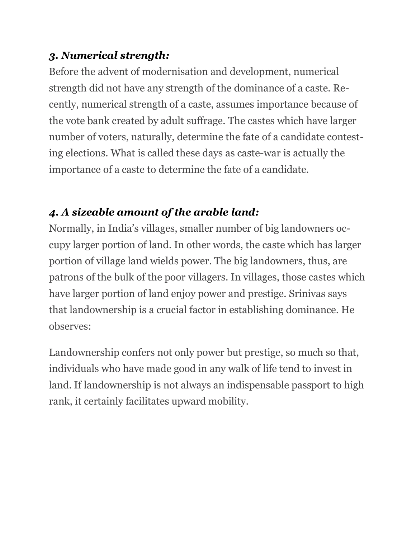### *3. Numerical strength:*

Before the advent of modernisation and development, numerical strength did not have any strength of the dominance of a caste. Recently, numerical strength of a caste, assumes importance because of the vote bank created by adult suffrage. The castes which have larger number of voters, naturally, determine the fate of a candidate contesting elections. What is called these days as caste-war is actually the importance of a caste to determine the fate of a candidate.

### *4. A sizeable amount of the arable land:*

Normally, in India's villages, smaller number of big landowners occupy larger portion of land. In other words, the caste which has larger portion of village land wields power. The big landowners, thus, are patrons of the bulk of the poor villagers. In villages, those castes which have larger portion of land enjoy power and prestige. Srinivas says that landownership is a crucial factor in establishing dominance. He observes:

Landownership confers not only power but prestige, so much so that, individuals who have made good in any walk of life tend to invest in land. If landownership is not always an indispensable passport to high rank, it certainly facilitates upward mobility.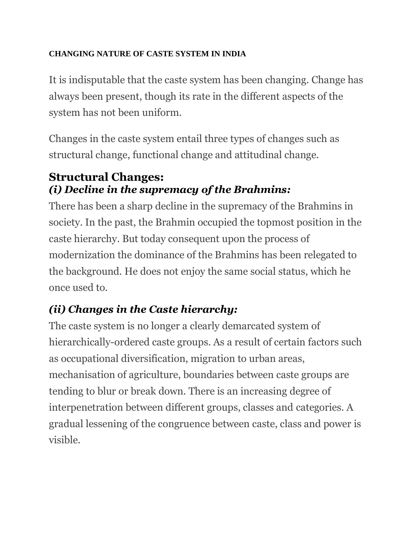### **CHANGING NATURE OF CASTE SYSTEM IN INDIA**

It is indisputable that the caste system has been changing. Change has always been present, though its rate in the different aspects of the system has not been uniform.

Changes in the caste system entail three types of changes such as structural change, functional change and attitudinal change.

### **Structural Changes:** *(i) Decline in the supremacy of the Brahmins:*

There has been a sharp decline in the supremacy of the Brahmins in society. In the past, the Brahmin occupied the topmost position in the caste hierarchy. But today consequent upon the process of modernization the dominance of the Brahmins has been relegated to the background. He does not enjoy the same social status, which he once used to.

# *(ii) Changes in the Caste hierarchy:*

The caste system is no longer a clearly demarcated system of hierarchically-ordered caste groups. As a result of certain factors such as occupational diversification, migration to urban areas, mechanisation of agriculture, boundaries between caste groups are tending to blur or break down. There is an increasing degree of interpenetration between different groups, classes and categories. A gradual lessening of the congruence between caste, class and power is visible.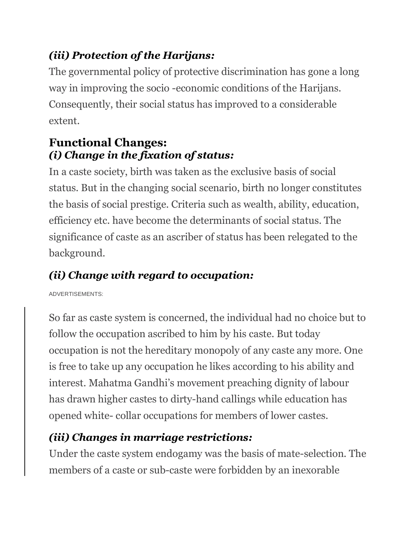# *(iii) Protection of the Harijans:*

The governmental policy of protective discrimination has gone a long way in improving the socio -economic conditions of the Harijans. Consequently, their social status has improved to a considerable extent.

# **Functional Changes:** *(i) Change in the fixation of status:*

In a caste society, birth was taken as the exclusive basis of social status. But in the changing social scenario, birth no longer constitutes the basis of social prestige. Criteria such as wealth, ability, education, efficiency etc. have become the determinants of social status. The significance of caste as an ascriber of status has been relegated to the background.

# *(ii) Change with regard to occupation:*

ADVERTISEMENTS:

So far as caste system is concerned, the individual had no choice but to follow the occupation ascribed to him by his caste. But today occupation is not the hereditary monopoly of any caste any more. One is free to take up any occupation he likes according to his ability and interest. Mahatma Gandhi's movement preaching dignity of labour has drawn higher castes to dirty-hand callings while education has opened white- collar occupations for members of lower castes.

# *(iii) Changes in marriage restrictions:*

Under the caste system endogamy was the basis of mate-selection. The members of a caste or sub-caste were forbidden by an inexorable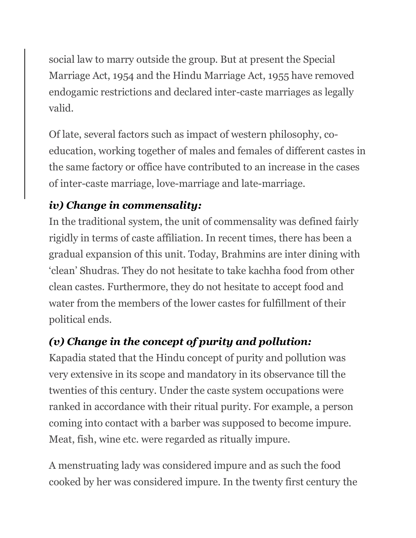social law to marry outside the group. But at present the Special Marriage Act, 1954 and the Hindu Marriage Act, 1955 have removed endogamic restrictions and declared inter-caste marriages as legally valid.

Of late, several factors such as impact of western philosophy, coeducation, working together of males and females of different castes in the same factory or office have contributed to an increase in the cases of inter-caste marriage, love-marriage and late-marriage.

# *iv) Change in commensality:*

In the traditional system, the unit of commensality was defined fairly rigidly in terms of caste affiliation. In recent times, there has been a gradual expansion of this unit. Today, Brahmins are inter dining with 'clean' Shudras. They do not hesitate to take kachha food from other clean castes. Furthermore, they do not hesitate to accept food and water from the members of the lower castes for fulfillment of their political ends.

# *(v) Change in the concept of purity and pollution:*

Kapadia stated that the Hindu concept of purity and pollution was very extensive in its scope and mandatory in its observance till the twenties of this century. Under the caste system occupations were ranked in accordance with their ritual purity. For example, a person coming into contact with a barber was supposed to become impure. Meat, fish, wine etc. were regarded as ritually impure.

A menstruating lady was considered impure and as such the food cooked by her was considered impure. In the twenty first century the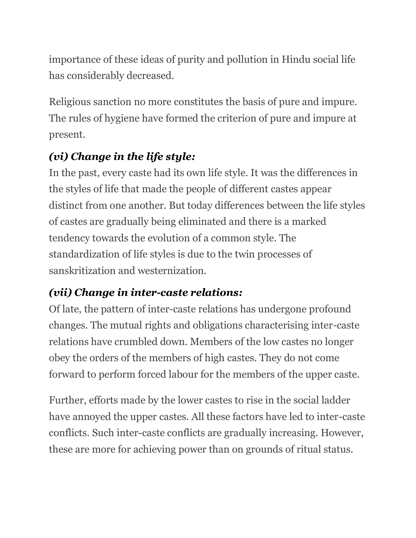importance of these ideas of purity and pollution in Hindu social life has considerably decreased.

Religious sanction no more constitutes the basis of pure and impure. The rules of hygiene have formed the criterion of pure and impure at present.

# *(vi) Change in the life style:*

In the past, every caste had its own life style. It was the differences in the styles of life that made the people of different castes appear distinct from one another. But today differences between the life styles of castes are gradually being eliminated and there is a marked tendency towards the evolution of a common style. The standardization of life styles is due to the twin processes of sanskritization and westernization.

# *(vii) Change in inter-caste relations:*

Of late, the pattern of inter-caste relations has undergone profound changes. The mutual rights and obligations characterising inter-caste relations have crumbled down. Members of the low castes no longer obey the orders of the members of high castes. They do not come forward to perform forced labour for the members of the upper caste.

Further, efforts made by the lower castes to rise in the social ladder have annoyed the upper castes. All these factors have led to inter-caste conflicts. Such inter-caste conflicts are gradually increasing. However, these are more for achieving power than on grounds of ritual status.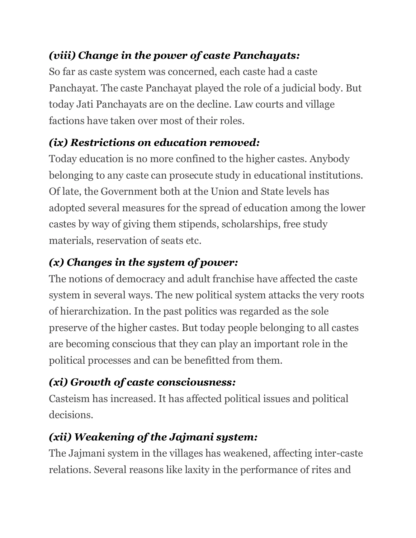# *(viii) Change in the power of caste Panchayats:*

So far as caste system was concerned, each caste had a caste Panchayat. The caste Panchayat played the role of a judicial body. But today Jati Panchayats are on the decline. Law courts and village factions have taken over most of their roles.

# *(ix) Restrictions on education removed:*

Today education is no more confined to the higher castes. Anybody belonging to any caste can prosecute study in educational institutions. Of late, the Government both at the Union and State levels has adopted several measures for the spread of education among the lower castes by way of giving them stipends, scholarships, free study materials, reservation of seats etc.

# *(x) Changes in the system of power:*

The notions of democracy and adult franchise have affected the caste system in several ways. The new political system attacks the very roots of hierarchization. In the past politics was regarded as the sole preserve of the higher castes. But today people belonging to all castes are becoming conscious that they can play an important role in the political processes and can be benefitted from them.

# *(xi) Growth of caste consciousness:*

Casteism has increased. It has affected political issues and political decisions.

# *(xii) Weakening of the Jajmani system:*

The Jajmani system in the villages has weakened, affecting inter-caste relations. Several reasons like laxity in the performance of rites and